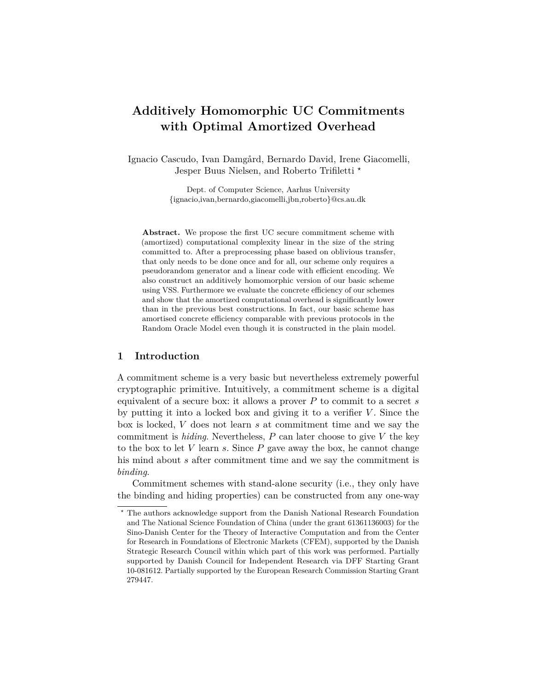# **Additively Homomorphic UC Commitments with Optimal Amortized Overhead**

Ignacio Cascudo, Ivan Damgård, Bernardo David, Irene Giacomelli, Jesper Buus Nielsen, and Roberto Trifiletti *?*

> Dept. of Computer Science, Aarhus University {ignacio,ivan,bernardo,giacomelli,jbn,roberto}@cs.au.dk

**Abstract.** We propose the first UC secure commitment scheme with (amortized) computational complexity linear in the size of the string committed to. After a preprocessing phase based on oblivious transfer, that only needs to be done once and for all, our scheme only requires a pseudorandom generator and a linear code with efficient encoding. We also construct an additively homomorphic version of our basic scheme using VSS. Furthermore we evaluate the concrete efficiency of our schemes and show that the amortized computational overhead is significantly lower than in the previous best constructions. In fact, our basic scheme has amortised concrete efficiency comparable with previous protocols in the Random Oracle Model even though it is constructed in the plain model.

### **1 Introduction**

A commitment scheme is a very basic but nevertheless extremely powerful cryptographic primitive. Intuitively, a commitment scheme is a digital equivalent of a secure box: it allows a prover *P* to commit to a secret *s* by putting it into a locked box and giving it to a verifier *V* . Since the box is locked, *V* does not learn *s* at commitment time and we say the commitment is *hiding*. Nevertheless,  $P$  can later choose to give  $V$  the key to the box to let *V* learn *s*. Since *P* gave away the box, he cannot change his mind about *s* after commitment time and we say the commitment is *binding*.

Commitment schemes with stand-alone security (i.e., they only have the binding and hiding properties) can be constructed from any one-way

*<sup>?</sup>* The authors acknowledge support from the Danish National Research Foundation and The National Science Foundation of China (under the grant 61361136003) for the Sino-Danish Center for the Theory of Interactive Computation and from the Center for Research in Foundations of Electronic Markets (CFEM), supported by the Danish Strategic Research Council within which part of this work was performed. Partially supported by Danish Council for Independent Research via DFF Starting Grant 10-081612. Partially supported by the European Research Commission Starting Grant 279447.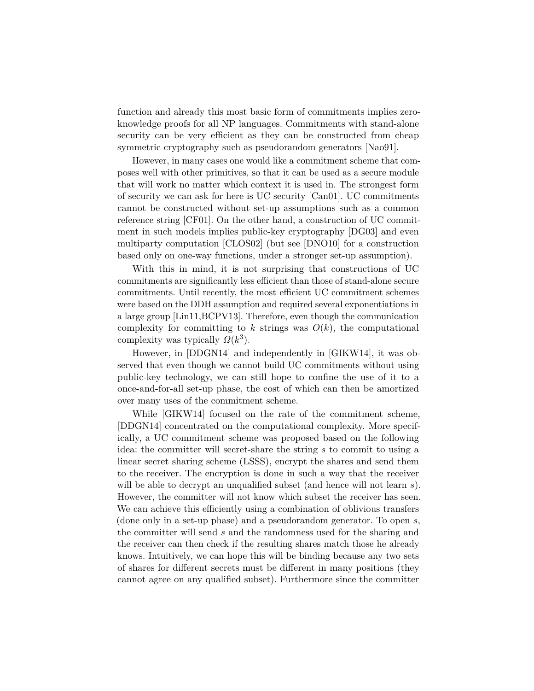function and already this most basic form of commitments implies zeroknowledge proofs for all NP languages. Commitments with stand-alone security can be very efficient as they can be constructed from cheap symmetric cryptography such as pseudorandom generators [Nao91].

However, in many cases one would like a commitment scheme that composes well with other primitives, so that it can be used as a secure module that will work no matter which context it is used in. The strongest form of security we can ask for here is UC security [Can01]. UC commitments cannot be constructed without set-up assumptions such as a common reference string [CF01]. On the other hand, a construction of UC commitment in such models implies public-key cryptography [DG03] and even multiparty computation [CLOS02] (but see [DNO10] for a construction based only on one-way functions, under a stronger set-up assumption).

With this in mind, it is not surprising that constructions of UC commitments are significantly less efficient than those of stand-alone secure commitments. Until recently, the most efficient UC commitment schemes were based on the DDH assumption and required several exponentiations in a large group [Lin11,BCPV13]. Therefore, even though the communication complexity for committing to  $k$  strings was  $O(k)$ , the computational complexity was typically  $\Omega(k^3)$ .

However, in [DDGN14] and independently in [GIKW14], it was observed that even though we cannot build UC commitments without using public-key technology, we can still hope to confine the use of it to a once-and-for-all set-up phase, the cost of which can then be amortized over many uses of the commitment scheme.

While [GIKW14] focused on the rate of the commitment scheme, [DDGN14] concentrated on the computational complexity. More specifically, a UC commitment scheme was proposed based on the following idea: the committer will secret-share the string *s* to commit to using a linear secret sharing scheme (LSSS), encrypt the shares and send them to the receiver. The encryption is done in such a way that the receiver will be able to decrypt an unqualified subset (and hence will not learn *s*). However, the committer will not know which subset the receiver has seen. We can achieve this efficiently using a combination of oblivious transfers (done only in a set-up phase) and a pseudorandom generator. To open *s*, the committer will send *s* and the randomness used for the sharing and the receiver can then check if the resulting shares match those he already knows. Intuitively, we can hope this will be binding because any two sets of shares for different secrets must be different in many positions (they cannot agree on any qualified subset). Furthermore since the committer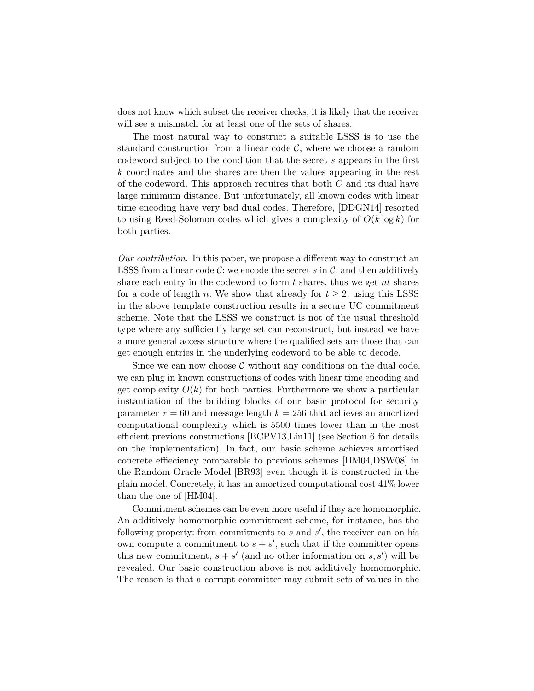does not know which subset the receiver checks, it is likely that the receiver will see a mismatch for at least one of the sets of shares.

The most natural way to construct a suitable LSSS is to use the standard construction from a linear code  $C$ , where we choose a random codeword subject to the condition that the secret *s* appears in the first *k* coordinates and the shares are then the values appearing in the rest of the codeword. This approach requires that both *C* and its dual have large minimum distance. But unfortunately, all known codes with linear time encoding have very bad dual codes. Therefore, [DDGN14] resorted to using Reed-Solomon codes which gives a complexity of *O*(*k* log *k*) for both parties.

*Our contribution.* In this paper, we propose a different way to construct an LSSS from a linear code  $\mathcal{C}$ : we encode the secret s in  $\mathcal{C}$ , and then additively share each entry in the codeword to form *t* shares, thus we get *nt* shares for a code of length *n*. We show that already for  $t \geq 2$ , using this LSSS in the above template construction results in a secure UC commitment scheme. Note that the LSSS we construct is not of the usual threshold type where any sufficiently large set can reconstruct, but instead we have a more general access structure where the qualified sets are those that can get enough entries in the underlying codeword to be able to decode.

Since we can now choose  $\mathcal C$  without any conditions on the dual code, we can plug in known constructions of codes with linear time encoding and get complexity  $O(k)$  for both parties. Furthermore we show a particular instantiation of the building blocks of our basic protocol for security parameter  $\tau = 60$  and message length  $k = 256$  that achieves an amortized computational complexity which is 5500 times lower than in the most efficient previous constructions [BCPV13,Lin11] (see Section 6 for details on the implementation). In fact, our basic scheme achieves amortised concrete effieciency comparable to previous schemes [HM04,DSW08] in the Random Oracle Model [BR93] even though it is constructed in the plain model. Concretely, it has an amortized computational cost 41% lower than the one of [HM04].

Commitment schemes can be even more useful if they are homomorphic. An additively homomorphic commitment scheme, for instance, has the following property: from commitments to  $s$  and  $s'$ , the receiver can on his own compute a commitment to  $s + s'$ , such that if the committer opens this new commitment,  $s + s'$  (and no other information on  $s, s'$ ) will be revealed. Our basic construction above is not additively homomorphic. The reason is that a corrupt committer may submit sets of values in the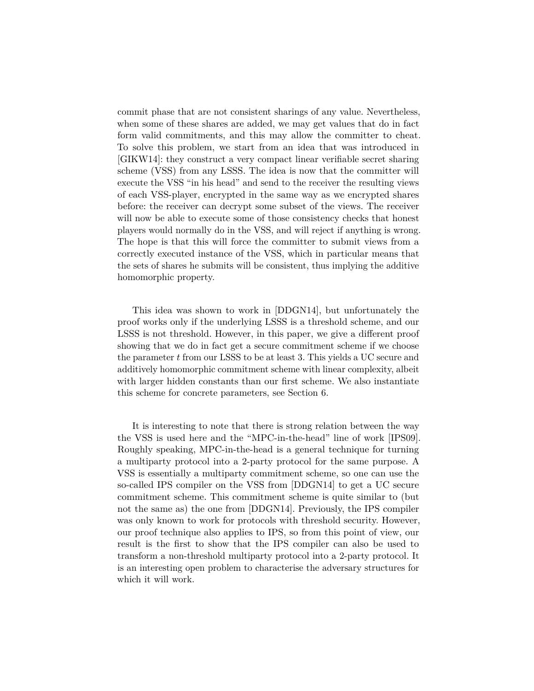commit phase that are not consistent sharings of any value. Nevertheless, when some of these shares are added, we may get values that do in fact form valid commitments, and this may allow the committer to cheat. To solve this problem, we start from an idea that was introduced in [GIKW14]: they construct a very compact linear verifiable secret sharing scheme (VSS) from any LSSS. The idea is now that the committer will execute the VSS "in his head" and send to the receiver the resulting views of each VSS-player, encrypted in the same way as we encrypted shares before: the receiver can decrypt some subset of the views. The receiver will now be able to execute some of those consistency checks that honest players would normally do in the VSS, and will reject if anything is wrong. The hope is that this will force the committer to submit views from a correctly executed instance of the VSS, which in particular means that the sets of shares he submits will be consistent, thus implying the additive homomorphic property.

This idea was shown to work in [DDGN14], but unfortunately the proof works only if the underlying LSSS is a threshold scheme, and our LSSS is not threshold. However, in this paper, we give a different proof showing that we do in fact get a secure commitment scheme if we choose the parameter *t* from our LSSS to be at least 3. This yields a UC secure and additively homomorphic commitment scheme with linear complexity, albeit with larger hidden constants than our first scheme. We also instantiate this scheme for concrete parameters, see Section 6.

It is interesting to note that there is strong relation between the way the VSS is used here and the "MPC-in-the-head" line of work [IPS09]. Roughly speaking, MPC-in-the-head is a general technique for turning a multiparty protocol into a 2-party protocol for the same purpose. A VSS is essentially a multiparty commitment scheme, so one can use the so-called IPS compiler on the VSS from [DDGN14] to get a UC secure commitment scheme. This commitment scheme is quite similar to (but not the same as) the one from [DDGN14]. Previously, the IPS compiler was only known to work for protocols with threshold security. However, our proof technique also applies to IPS, so from this point of view, our result is the first to show that the IPS compiler can also be used to transform a non-threshold multiparty protocol into a 2-party protocol. It is an interesting open problem to characterise the adversary structures for which it will work.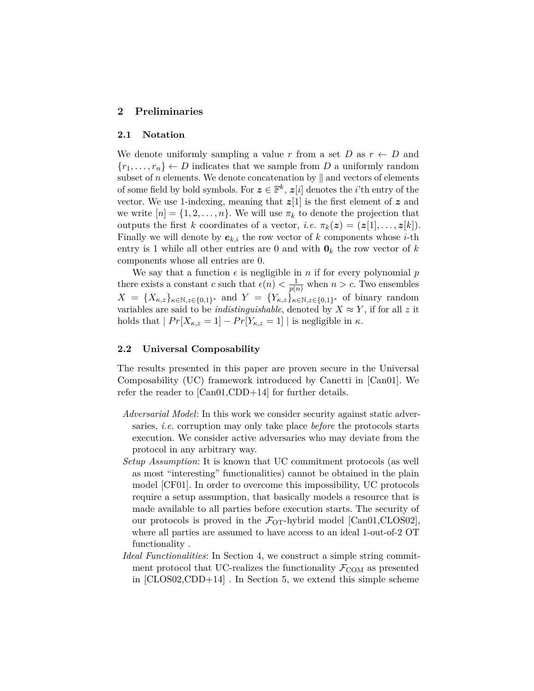### **2 Preliminaries**

### **2.1 Notation**

We denote uniformly sampling a value r from a set  $D$  as  $r \leftarrow D$  and  ${r_1, \ldots, r_n} \leftarrow D$  indicates that we sample from *D* a uniformly random subset of *n* elements. We denote concatenation by  $\parallel$  and vectors of elements of some field by bold symbols. For  $z \in \mathbb{F}^k$ ,  $z[i]$  denotes the *i*'th entry of the vector. We use 1-indexing, meaning that  $z[1]$  is the first element of  $z$  and we write  $[n] = \{1, 2, \ldots, n\}$ . We will use  $\pi_k$  to denote the projection that outputs the first *k* coordinates of a vector, *i.e.*  $\pi_k(z) = (z[1], \ldots, z[k])$ . Finally we will denote by  $e_{k,i}$  the row vector of  $k$  components whose  $i$ -th entry is 1 while all other entries are 0 and with  $\mathbf{0}_k$  the row vector of  $k$ components whose all entries are 0.

We say that a function  $\epsilon$  is negligible in *n* if for every polynomial *p* there exists a constant *c* such that  $\epsilon(n) < \frac{1}{p(n)}$  when  $n > c$ . Two ensembles  $X = \{X_{\kappa,z}\}_{\kappa \in \mathbb{N}, z \in \{0,1\}^*}$  and  $Y = \{Y_{\kappa,z}\}_{\kappa \in \mathbb{N}, z \in \{0,1\}^*}$  of binary random variables are said to be *indistinguishable*, denoted by  $X \approx Y$ , if for all z it holds that  $| Pr[X_{\kappa,z} = 1] - Pr[Y_{\kappa,z} = 1] |$  is negligible in  $\kappa$ .

### **2.2 Universal Composability**

The results presented in this paper are proven secure in the Universal Composability (UC) framework introduced by Canetti in [Can01]. We refer the reader to [Can01,CDD+14] for further details.

- *Adversarial Model*: In this work we consider security against static adversaries, *i.e.* corruption may only take place *before* the protocols starts execution. We consider active adversaries who may deviate from the protocol in any arbitrary way.
- *Setup Assumption*: It is known that UC commitment protocols (as well as most "interesting" functionalities) cannot be obtained in the plain model [CF01]. In order to overcome this impossibility, UC protocols require a setup assumption, that basically models a resource that is made available to all parties before execution starts. The security of our protocols is proved in the  $\mathcal{F}_{\text{OT}}$ -hybrid model [Can01,CLOS02], where all parties are assumed to have access to an ideal 1-out-of-2 OT functionality .
- *Ideal Functionalities*: In Section 4, we construct a simple string commitment protocol that UC-realizes the functionality  $\mathcal{F}_{COM}$  as presented in [CLOS02,CDD+14] . In Section 5, we extend this simple scheme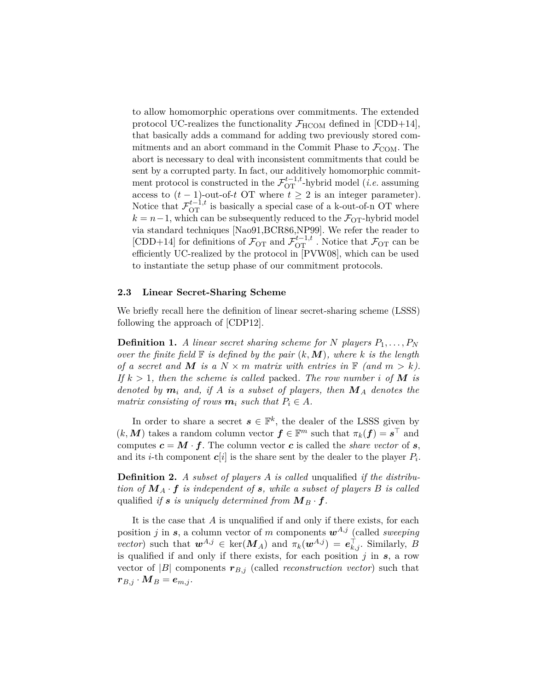to allow homomorphic operations over commitments. The extended protocol UC-realizes the functionality  $\mathcal{F}_{HCOM}$  defined in [CDD+14], that basically adds a command for adding two previously stored commitments and an abort command in the Commit Phase to  $\mathcal{F}_{COM}$ . The abort is necessary to deal with inconsistent commitments that could be sent by a corrupted party. In fact, our additively homomorphic commitment protocol is constructed in the  $\mathcal{F}_{\text{OT}}^{t-1,t}$ -hybrid model (*i.e.* assuming access to  $(t-1)$ -out-of-*t* OT where  $t \geq 2$  is an integer parameter). Notice that  $\mathcal{F}_{\text{OT}}^{t-1,t}$  is basically a special case of a k-out-of-n OT where  $k = n-1$ , which can be subsequently reduced to the  $\mathcal{F}_{\text{OT}}$ -hybrid model via standard techniques [Nao91,BCR86,NP99]. We refer the reader to [CDD+14] for definitions of  $\mathcal{F}_{\text{OT}}$  and  $\mathcal{F}_{\text{OT}}^{t-1,t}$ . Notice that  $\mathcal{F}_{\text{OT}}$  can be efficiently UC-realized by the protocol in [PVW08], which can be used to instantiate the setup phase of our commitment protocols.

## **2.3 Linear Secret-Sharing Scheme**

We briefly recall here the definition of linear secret-sharing scheme (LSSS) following the approach of [CDP12].

**Definition 1.** *A linear secret sharing scheme for N players*  $P_1, \ldots, P_N$ *over the finite field*  $\mathbb F$  *is defined by the pair*  $(k, \mathbf{M})$ *, where*  $k$  *is the length of a secret and*  $M$  *is a*  $N \times m$  *matrix with entries in*  $\mathbb{F}$  *(and*  $m > k$ ). *If*  $k > 1$ , then the scheme is called packed. The row number *i* of M is *denoted by*  $m_i$  *and, if A is a subset of players, then*  $M_A$  *denotes the matrix consisting of rows*  $m_i$  *such that*  $P_i \in A$ *.* 

In order to share a secret  $s \in \mathbb{F}^k$ , the dealer of the LSSS given by  $(k, M)$  takes a random column vector  $f \in \mathbb{F}^m$  such that  $\pi_k(f) = s^{\top}$  and computes  $c = M \cdot f$ . The column vector *c* is called the *share vector* of *s*, and its *i*-th component  $c[i]$  is the share sent by the dealer to the player  $P_i$ .

**Definition 2.** *A subset of players A is called* unqualified *if the distribution of*  $M_A \cdot f$  *is independent of s, while a subset of players B is called* qualified *if s is uniquely determined from*  $M_B \cdot f$ .

It is the case that *A* is unqualified if and only if there exists, for each position *j* in *s*, a column vector of *m* components  $w^{A,j}$  (called *sweeping vector*) such that  $w^{A,j} \in \text{ker}(M_A)$  and  $\pi_k(w^{A,j}) = e_{k,j}^\top$ . Similarly, *B* is qualified if and only if there exists, for each position *j* in *s*, a row vector of  $|B|$  components  $r_{B,j}$  (called *reconstruction vector*) such that  $r_{B,j} \cdot M_B = e_{m,j}$ .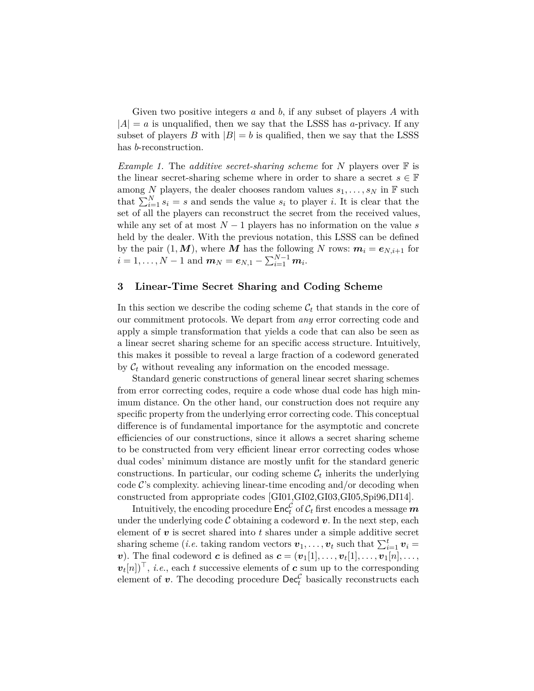Given two positive integers *a* and *b*, if any subset of players *A* with  $|A| = a$  is unqualified, then we say that the LSSS has *a*-privacy. If any subset of players *B* with  $|B| = b$  is qualified, then we say that the LSSS has *b*-reconstruction.

*Example 1.* The *additive secret-sharing scheme* for *N* players over F is the linear secret-sharing scheme where in order to share a secret  $s \in \mathbb{F}$ among *N* players, the dealer chooses random values  $s_1, \ldots, s_N$  in  $\mathbb{F}$  such that  $\sum_{i=1}^{N} s_i = s$  and sends the value  $s_i$  to player *i*. It is clear that the set of all the players can reconstruct the secret from the received values, while any set of at most  $N-1$  players has no information on the value *s* held by the dealer. With the previous notation, this LSSS can be defined by the pair  $(1, M)$ , where M has the following N rows:  $m_i = e_{N,i+1}$  for  $i = 1, ..., N - 1$  and  $m_N = e_{N,1} - \sum_{i=1}^{N-1} m_i$ .

### **3 Linear-Time Secret Sharing and Coding Scheme**

In this section we describe the coding scheme  $\mathcal{C}_t$  that stands in the core of our commitment protocols. We depart from *any* error correcting code and apply a simple transformation that yields a code that can also be seen as a linear secret sharing scheme for an specific access structure. Intuitively, this makes it possible to reveal a large fraction of a codeword generated by  $C_t$  without revealing any information on the encoded message.

Standard generic constructions of general linear secret sharing schemes from error correcting codes, require a code whose dual code has high minimum distance. On the other hand, our construction does not require any specific property from the underlying error correcting code. This conceptual difference is of fundamental importance for the asymptotic and concrete efficiencies of our constructions, since it allows a secret sharing scheme to be constructed from very efficient linear error correcting codes whose dual codes' minimum distance are mostly unfit for the standard generic constructions. In particular, our coding scheme  $\mathcal{C}_t$  inherits the underlying code  $\mathcal{C}$ 's complexity. achieving linear-time encoding and/or decoding when constructed from appropriate codes [GI01,GI02,GI03,GI05,Spi96,DI14].

Intuitively, the encoding procedure  $\mathsf{Enc}^\mathcal{C}_t$  of  $\mathcal{C}_t$  first encodes a message  $\bm{m}$ under the underlying code  $\mathcal C$  obtaining a codeword  $\mathbf v$ . In the next step, each element of  $v$  is secret shared into  $t$  shares under a simple additive secret sharing scheme (*i.e.* taking random vectors  $v_1, \ldots, v_t$  such that  $\sum_{i=1}^t v_i =$ *v*). The final codeword *c* is defined as  $\boldsymbol{c} = (\boldsymbol{v}_1[1], \dots, \boldsymbol{v}_t[1], \dots, \boldsymbol{v}_1[n], \dots,$  $\boldsymbol{v}_t[n]$ <sup>T</sup>, *i.e.*, each *t* successive elements of *c* sum up to the corresponding element of  $v$ . The decoding procedure  $\mathsf{Dec}^\mathcal{C}_t$  basically reconstructs each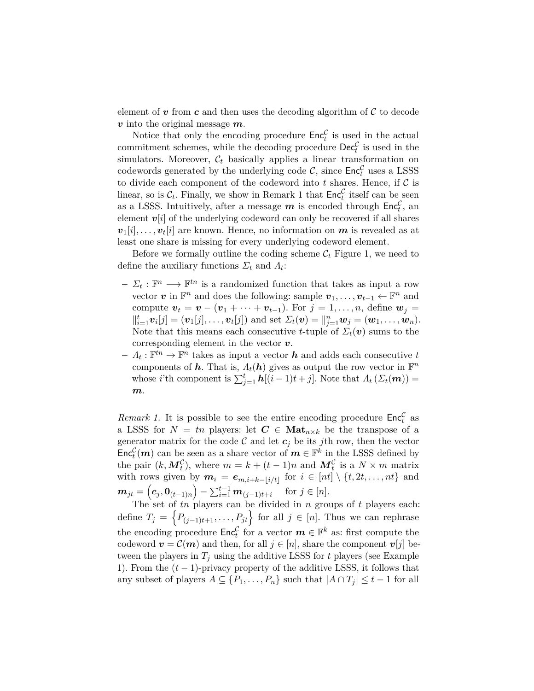element of  $v$  from  $c$  and then uses the decoding algorithm of  $\mathcal C$  to decode *v* into the original message *m*.

Notice that only the encoding procedure  $\mathsf{Enc}^{\mathcal{C}}_t$  is used in the actual commitment schemes, while the decoding procedure  $\mathsf{Dec}^\mathcal{C}_t$  is used in the simulators. Moreover,  $C_t$  basically applies a linear transformation on codewords generated by the underlying code  $\mathcal{C}$ , since  $\mathsf{Enc}^{\mathcal{C}}_t$  uses a LSSS to divide each component of the codeword into  $t$  shares. Hence, if  $\mathcal C$  is linear, so is  $C_t$ . Finally, we show in Remark 1 that  $Enc_t^C$  itself can be seen as a LSSS. Intuitively, after a message  $m$  is encoded through  $\mathsf{Enc}^\mathcal{C}_t$ , an element  $v[i]$  of the underlying codeword can only be recovered if all shares  $v_1[i], \ldots, v_t[i]$  are known. Hence, no information on  $m$  is revealed as at least one share is missing for every underlying codeword element.

Before we formally outline the coding scheme  $C_t$  Figure 1, we need to define the auxiliary functions *Σ<sup>t</sup>* and *Λ<sup>t</sup>* :

- $\Sigma$ <sup>*t*</sup> : **F**<sup>*n*</sup> → **F**<sup>*tn*</sup> is a randomized function that takes as input a row vector  $v$  in  $\mathbb{F}^n$  and does the following: sample  $v_1, \ldots, v_{t-1} \leftarrow \mathbb{F}^n$  and compute  $v_t = v - (v_1 + \cdots + v_{t-1})$ . For  $j = 1, ..., n$ , define  $w_j =$  $\|_{i=1}^t \mathbf{v}_i[j] = (\mathbf{v}_1[j], \dots, \mathbf{v}_t[j])$  and set  $\Sigma_t(\mathbf{v}) = \|^n_{j=1} \mathbf{w}_j = (\mathbf{w}_1, \dots, \mathbf{w}_n).$ Note that this means each consecutive *t*-tuple of  $\Sigma_t(\mathbf{v})$  sums to the corresponding element in the vector *v*.
- $A_t: \mathbb{F}^{tn} \to \mathbb{F}^n$  takes as input a vector **h** and adds each consecutive *t* components of  $h$ . That is,  $\Lambda_t(h)$  gives as output the row vector in  $\mathbb{F}^n$ whose *i*'th component is  $\sum_{j=1}^{t} h[(i-1)t+j]$ . Note that  $\Lambda_t(\Sigma_t(\boldsymbol{m}))$  = *m*.

*Remark 1.* It is possible to see the entire encoding procedure  $Enc_{t}^{C}$  as a LSSS for  $N = tn$  players: let  $C \in Mat_{n \times k}$  be the transpose of a generator matrix for the code  $C$  and let  $c_j$  be its *j*th row, then the vector  $\mathsf{Enc}^{\mathcal{C}}_t(\boldsymbol{m})$  can be seen as a share vector of  $\boldsymbol{m} \in \mathbb{F}^k$  in the LSSS defined by the pair  $(k, M_t^{\mathcal{C}})$ , where  $m = k + (t - 1)n$  and  $M_t^{\mathcal{C}}$  is a  $N \times m$  matrix with rows given by  $m_i = e_{m,i+k-|i/t|}$  for  $i \in [nt] \setminus \{t, 2t, \ldots, nt\}$  and  $m_{jt} = (c_j, 0_{(t-1)n}) - \sum_{i=1}^{t-1} m_{(j-1)t+i}$  for  $j \in [n]$ .

The set of *tn* players can be divided in *n* groups of *t* players each: define  $T_j = \{P_{(j-1)t+1}, \ldots, P_{jt}\}\$ for all  $j \in [n]$ . Thus we can rephrase the encoding procedure  $\mathsf{Enc}^{\mathcal{C}}_t$  for a vector  $\boldsymbol{m} \in \mathbb{F}^k$  as: first compute the codeword  $v = \mathcal{C}(m)$  and then, for all  $j \in [n]$ , share the component  $v[j]$  between the players in  $T_j$  using the additive LSSS for  $t$  players (see Example 1). From the (*t* − 1)-privacy property of the additive LSSS, it follows that any subset of players  $A \subseteq \{P_1, \ldots, P_n\}$  such that  $|A \cap T_j| \leq t - 1$  for all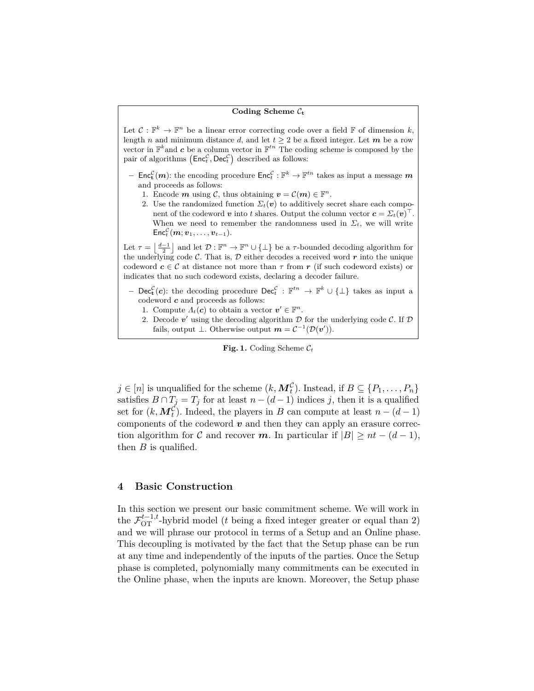### **Coding Scheme** C**<sup>t</sup>**

Let  $\mathcal{C}: \mathbb{F}^k \to \mathbb{F}^n$  be a linear error correcting code over a field  $\mathbb{F}$  of dimension *k*, length *n* and minimum distance *d*, and let  $t \geq 2$  be a fixed integer. Let *m* be a row vector in  $\mathbb{F}^k$  and  $c$  be a column vector in  $\mathbb{F}^{tn}$  The coding scheme is composed by the pair of algorithms  $(\mathsf{Enc}^{\mathcal{C}}_t, \mathsf{Dec}^{\mathcal{C}}_t)$  described as follows:

- $\mathsf{Enc}^{\mathcal{C}}_t(m)$ : the encoding procedure  $\mathsf{Enc}^{\mathcal{C}}_t : \mathbb{F}^k \to \mathbb{F}^{tn}$  takes as input a message  $m$ and proceeds as follows:
	- 1. Encode  $m$  using  $C$ , thus obtaining  $v = C(m) \in \mathbb{F}^n$ .
	- 2. Use the randomized function  $\Sigma_t(\mathbf{v})$  to additively secret share each component of the codeword *v* into *t* shares. Output the column vector  $c = \Sigma_t(v)^\top$ . When we need to remember the randomness used in  $\Sigma_t$ , we will write  $\mathsf{Enc}^\mathcal{C}_t(\bm{m};\bm{v}_1,\dots,\bm{v}_{t-1}).$

Let  $\tau = \left\lfloor \frac{d-1}{2} \right\rfloor$  and let  $\mathcal{D} : \mathbb{F}^n \to \mathbb{F}^n \cup \{\perp\}$  be a  $\tau$ -bounded decoding algorithm for the underlying code  $\mathcal{C}$ . That is,  $\mathcal{D}$  either decodes a received word  $\mathbf{r}$  into the unique codeword  $c \in \mathcal{C}$  at distance not more than  $\tau$  from  $r$  (if such codeword exists) or indicates that no such codeword exists, declaring a decoder failure.

- $\mathsf{Dec}^{\mathcal{C}}_t(c)$ **: the decoding procedure Dec<sup>***C***</sup> :**  $\mathbb{F}^{tn}$  **→**  $\mathbb{F}^k$  **∪ {⊥} takes as input a** codeword *c* and proceeds as follows:
	- 1. Compute  $\Lambda_t(c)$  to obtain a vector  $v' \in \mathbb{F}^n$ .
	- 2. Decode  $v'$  using the decoding algorithm  $D$  for the underlying code  $C$ . If  $D$ fails, output  $\perp$ . Otherwise output  $m = C^{-1}(\mathcal{D}(v'))$ .



 $j \in [n]$  is unqualified for the scheme  $(k, M_t^{\mathcal{C}})$ . Instead, if  $B \subseteq \{P_1, \ldots, P_n\}$ satisfies  $B \cap T_j = T_j$  for at least  $n - (d - 1)$  indices *j*, then it is a qualified set for  $(k, M_t^{\mathcal{C}})$ . Indeed, the players in *B* can compute at least  $n - (d - 1)$ components of the codeword *v* and then they can apply an erasure correction algorithm for C and recover  $m$ . In particular if  $|B| \ge nt - (d-1)$ , then *B* is qualified.

### **4 Basic Construction**

In this section we present our basic commitment scheme. We will work in the  $\mathcal{F}_{\text{OT}}^{t-1,t}$ -hybrid model (*t* being a fixed integer greater or equal than 2) and we will phrase our protocol in terms of a Setup and an Online phase. This decoupling is motivated by the fact that the Setup phase can be run at any time and independently of the inputs of the parties. Once the Setup phase is completed, polynomially many commitments can be executed in the Online phase, when the inputs are known. Moreover, the Setup phase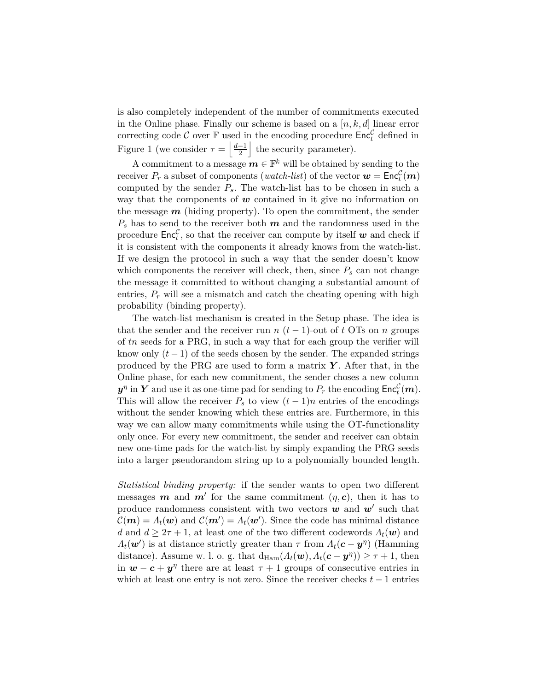is also completely independent of the number of commitments executed in the Online phase. Finally our scheme is based on a [*n, k, d*] linear error correcting code  $\mathcal C$  over  $\mathbb F$  used in the encoding procedure  $\mathsf{Enc}^{\mathcal C}_t$  defined in Figure 1 (we consider  $\tau = \left| \frac{d-1}{2} \right|$  $\frac{-1}{2}$  the security parameter).

A commitment to a message  $m \in \mathbb{F}^k$  will be obtained by sending to the receiver  $P_r$  a subset of components (*watch-list*) of the vector  $\boldsymbol{w} = \mathsf{Enc}_t^{\mathcal{C}}(\boldsymbol{m})$ computed by the sender  $P_s$ . The watch-list has to be chosen in such a way that the components of *w* contained in it give no information on the message  $m$  (hiding property). To open the commitment, the sender *P<sup>s</sup>* has to send to the receiver both *m* and the randomness used in the procedure  $\mathsf{Enc}^{\mathcal{C}}_t$ , so that the receiver can compute by itself  $\bm{w}$  and check if it is consistent with the components it already knows from the watch-list. If we design the protocol in such a way that the sender doesn't know which components the receiver will check, then, since  $P_s$  can not change the message it committed to without changing a substantial amount of entries,  $P_r$  will see a mismatch and catch the cheating opening with high probability (binding property).

The watch-list mechanism is created in the Setup phase. The idea is that the sender and the receiver run  $n(t-1)$ -out of  $t$  OTs on  $n$  groups of *tn* seeds for a PRG, in such a way that for each group the verifier will know only  $(t-1)$  of the seeds chosen by the sender. The expanded strings produced by the PRG are used to form a matrix *Y* . After that, in the Online phase, for each new commitment, the sender choses a new column  $y^\eta$  in  $Y$  and use it as one-time pad for sending to  $P_r$  the encoding  $\mathsf{Enc}^\mathcal{C}_t(m)$ . This will allow the receiver  $P_s$  to view  $(t-1)n$  entries of the encodings without the sender knowing which these entries are. Furthermore, in this way we can allow many commitments while using the OT-functionality only once. For every new commitment, the sender and receiver can obtain new one-time pads for the watch-list by simply expanding the PRG seeds into a larger pseudorandom string up to a polynomially bounded length.

*Statistical binding property:* if the sender wants to open two different messages **m** and **m'** for the same commitment  $(\eta, c)$ , then it has to produce randomness consistent with two vectors  $w$  and  $w'$  such that  $\mathcal{C}(m) = \Lambda_t(\boldsymbol{w})$  and  $\mathcal{C}(m') = \Lambda_t(\boldsymbol{w}')$ . Since the code has minimal distance *d* and  $d \geq 2\tau + 1$ , at least one of the two different codewords  $\Lambda_t(\boldsymbol{w})$  and *Λ*<sub>t</sub>(*w*<sup> $\prime$ </sup>) is at distance strictly greater than *τ* from *Λ*<sub>t</sub>(*c* − *y*<sup>*η*</sup>) (Hamming distance). Assume w. l. o. g. that  $d_{\text{Ham}}(A_t(\boldsymbol{w}), A_t(\boldsymbol{c} - \boldsymbol{y}^{\eta})) \geq \tau + 1$ , then in  $w - c + y^{\eta}$  there are at least  $\tau + 1$  groups of consecutive entries in which at least one entry is not zero. Since the receiver checks  $t-1$  entries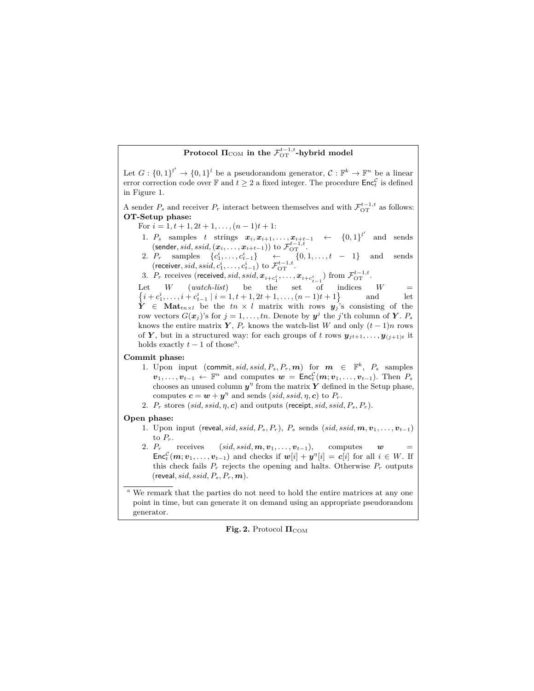## $\mathbf{Protocol} \ \mathbf{\Pi}_{\mathrm{COM}}$  in the  $\mathcal{F}_{\mathrm{OT}}^{t-1,t}$ -hybrid model

Let  $G: \{0,1\}^{l'} \to \{0,1\}^{l}$  be a pseudorandom generator,  $C: \mathbb{F}^{k} \to \mathbb{F}^{n}$  be a linear error correction code over  $\mathbb{F}$  and  $t \geq 2$  a fixed integer. The procedure  $\mathsf{Enc}^{\mathcal{C}}_t$  is defined in Figure 1.

A sender  $P_s$  and receiver  $P_r$  interact between themselves and with  $\mathcal{F}_{\text{OT}}^{t-1,t}$  as follows: **OT-Setup phase:**

- For  $i = 1, t + 1, 2t + 1, \ldots, (n 1)t + 1$ :
	- 1.  $P_s$  samples *t* strings  $x_i, x_{i+1}, \ldots, x_{i+t-1} \leftarrow \{0, 1\}^{l'}$  and sends  $(\textsf{sender}, sid,ssid,(\boldsymbol{x}_i,\dots,\boldsymbol{x}_{i+t-1})) \text{ to } \mathcal{F}_{\text{OT}}^{t-1,t}.$
	- 2.  $P_r$  samples  $\{c_1^i, \ldots, c_{t-1}^i\}$  ←  $\{0, 1, \ldots, t-1\}$  and sends  $(\text{receiver}, sid, ssid, c^i_1, \ldots, c^i_{t-1}) \text{ to } \mathcal{F}^{t-1,t}_{\text{OT}}.$
	- 3.  $P_r$  receives (received, sid, ssid,  $x_{i+c_1^i}, \ldots, x_{i+c_{t-1}^i}$ ) from  $\mathcal{F}_{\text{OT}}^{t-1,t}$ .

Let ∤ *W* (*watch-list*) be the set of indices *W* =  $i + c_1^i, \ldots, i + c_{t-1}^i \mid i = 1, t + 1, 2t + 1, \ldots, (n-1)t + 1$  and let  $Y \in Mat_{tn \times l}$  be the  $tn \times l$  matrix with rows  $y_j$ 's consisting of the row vectors  $G(x_j)$ 's for  $j = 1, \ldots, tn$ . Denote by  $y^j$  the *j*'th column of *Y*.  $P_s$ knows the entire matrix  $Y$ ,  $P_r$  knows the watch-list  $W$  and only  $(t-1)n$  rows of *Y*, but in a structured way: for each groups of *t* rows  $y_{jt+1}, \ldots, y_{(j+1)t}$  it holds exactly  $t - 1$  of those<sup>*a*</sup>.

### **Commit phase:**

- 1. Upon input  $(\text{commit}, sid, ssid, P_s, P_r, m)$  for  $m \in \mathbb{F}^k$ ,  $P_s$  samples  $v_1, \ldots, v_{t-1} \leftarrow \mathbb{F}^n$  and computes  $w = \mathsf{Enc}^{\mathcal{C}}_t(m; v_1, \ldots, v_{t-1})$ . Then  $P_s$ chooses an unused column  $y^{\eta}$  from the matrix  $Y$  defined in the Setup phase, computes  $\mathbf{c} = \mathbf{w} + \mathbf{y}^{\eta}$  and sends (*sid, ssid,*  $\eta$ *, c*) to  $P_r$ .
- 2.  $P_r$  stores (*sid, ssid, n, c*) and outputs (receipt, *sid, ssid, P<sub>s</sub>, P<sub>r</sub>*).

#### **Open phase:**

- 1. Upon input (reveal, sid, ssid,  $P_s$ ,  $P_r$ ),  $P_s$  sends (sid, ssid,  $m, v_1, \ldots, v_{t-1}$ ) to  $P_r$ .
- 2.  $P_r$  receives  $(sid, ssid, m, v_1, \ldots, v_{t-1}),$  computes  $w =$  $\mathsf{Enc}^\mathcal{C}_t(\bm{m};\bm{v}_1,\dots,\bm{v}_{t-1})$  and checks if  $\bm{w}[i] + \bm{y}^\eta[i] = \bm{c}[i]$  for all  $i \in W.$  If this check fails  $P_r$  rejects the opening and halts. Otherwise  $P_r$  outputs (reveal*, sid, ssid, Ps, Pr,m*).

*<sup>a</sup>* We remark that the parties do not need to hold the entire matrices at any one point in time, but can generate it on demand using an appropriate pseudorandom generator.

 $Fig. 2.$  Protocol  $\Pi_{COM}$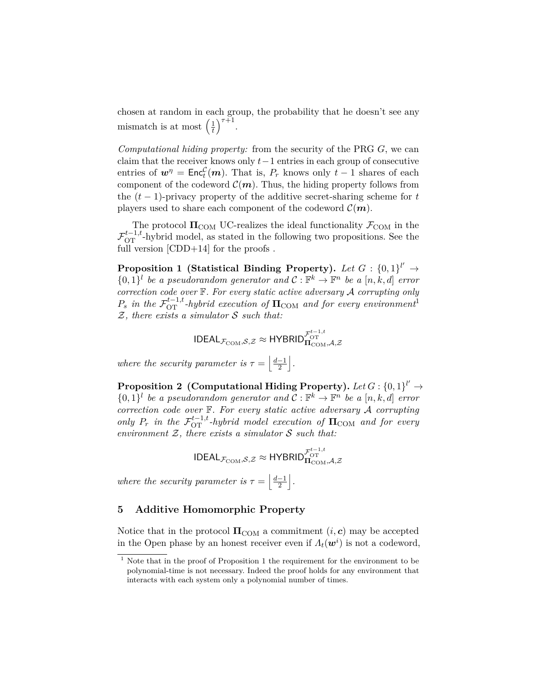chosen at random in each group, the probability that he doesn't see any mismatch is at most  $\left(\frac{1}{t}\right)$  $\frac{1}{t}\right)^{\tau+1}.$ 

*Computational hiding property:* from the security of the PRG *G*, we can claim that the receiver knows only *t*−1 entries in each group of consecutive entries of  $w^{\eta} = \text{Enc}^{\mathcal{C}}_t(m)$ . That is,  $P_r$  knows only  $t-1$  shares of each component of the codeword  $\mathcal{C}(m)$ . Thus, the hiding property follows from the (*t* − 1)-privacy property of the additive secret-sharing scheme for *t* players used to share each component of the codeword  $\mathcal{C}(m)$ .

The protocol  $\Pi_{COM}$  UC-realizes the ideal functionality  $\mathcal{F}_{COM}$  in the  $\mathcal{F}_{\text{OT}}^{t-1,t}$ -hybrid model, as stated in the following two propositions. See the full version  $[CDD+14]$  for the proofs.

**Proposition 1** (Statistical Binding Property). Let  $G : \{0,1\}^{l'} \rightarrow$  $\{0,1\}^l$  *be a pseudorandom generator and*  $C: \mathbb{F}^k \to \mathbb{F}^n$  *be a*  $[n, k, d]$  *error correction code over* F*. For every static active adversary* A *corrupting only*  $P_s$  *in the*  $\mathcal{F}_{\text{OT}}^{t-1,t}$ -*hybrid execution of*  $\Pi_{\text{COM}}$  *and for every environment*<sup>1</sup> Z*, there exists a simulator* S *such that:*

$$
\mathsf{IDEAL}_{\mathcal{F}_{\mathrm{COM}},\mathcal{S},\mathcal{Z}} \approx \mathsf{HYBRID}^{\mathcal{F}_{\mathrm{OT}}^{t-1,t}}_{\Pi_{\mathrm{COM}},\mathcal{A},\mathcal{Z}}
$$

*where the security parameter is*  $\tau = \frac{d-1}{2}$  $\frac{-1}{2}$ .

 ${\bf Proposition \ 2 \ \ (Computational Hiding Property).}$   $Let$   $G: \{0,1\}^{l'} \rightarrow$  $\{0,1\}^l$  *be a pseudorandom generator and*  $C: \mathbb{F}^k \to \mathbb{F}^n$  *be a*  $[n, k, d]$  *error correction code over* F*. For every static active adversary* A *corrupting only*  $P_r$  *in the*  $\mathcal{F}_{\text{OT}}^{t-1,t}$ *-hybrid model execution of*  $\Pi_{\text{COM}}$  *and for every environment* Z*, there exists a simulator* S *such that:*

$$
\mathsf{IDEAL}_{\mathcal{F}_\mathrm{COM},\mathcal{S},\mathcal{Z}}\approx\mathsf{HYBRID}^{\mathcal{F}_\mathrm{OT}^{t-1,t}}_{\Pi_\mathrm{COM},\mathcal{A},\mathcal{Z}}
$$

*where the security parameter is*  $\tau = \frac{d-1}{2}$  $\frac{-1}{2}$ .

## **5 Additive Homomorphic Property**

Notice that in the protocol  $\Pi_{\text{COM}}$  a commitment  $(i, c)$  may be accepted in the Open phase by an honest receiver even if  $\Lambda_t(\mathbf{w}^i)$  is not a codeword,

 $1$  Note that in the proof of Proposition 1 the requirement for the environment to be polynomial-time is not necessary. Indeed the proof holds for any environment that interacts with each system only a polynomial number of times.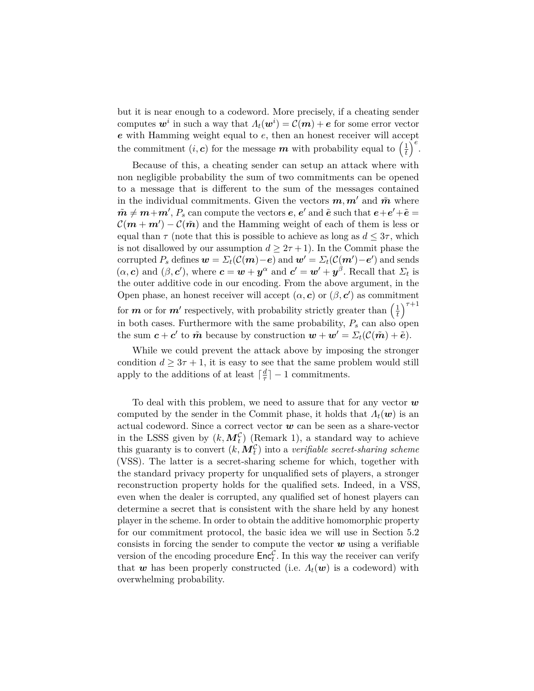but it is near enough to a codeword. More precisely, if a cheating sender computes  $\boldsymbol{w}^i$  in such a way that  $\Lambda_t(\boldsymbol{w}^i) = \mathcal{C}(\boldsymbol{m}) + \boldsymbol{e}$  for some error vector *e* with Hamming weight equal to *e*, then an honest receiver will accept the commitment  $(i, c)$  for the message **m** with probability equal to  $\left(\frac{1}{t}\right)$  $\frac{1}{t}$   $\Big)$ <sup>e</sup>.

Because of this, a cheating sender can setup an attack where with non negligible probability the sum of two commitments can be opened to a message that is different to the sum of the messages contained in the individual commitments. Given the vectors  $m, m'$  and  $\tilde{m}$  where  $\tilde{\bm{m}} \neq \bm{m}+\bm{m}',$   $P_s$  can compute the vectors  $\bm{e},$   $\bm{e}'$  and  $\tilde{\bm{e}}$  such that  $\bm{e}+\bm{e}'+\tilde{\bm{e}}=0$  $\mathcal{C}(m+m') - \mathcal{C}(\tilde{m})$  and the Hamming weight of each of them is less or equal than  $\tau$  (note that this is possible to achieve as long as  $d \leq 3\tau$ , which is not disallowed by our assumption  $d \geq 2\tau + 1$ ). In the Commit phase the corrupted  $P_s$  defines  $\mathbf{w} = \Sigma_t(\mathcal{C}(\bm{m}) - \bm{e})$  and  $\mathbf{w}' = \Sigma_t(\mathcal{C}(\bm{m}') - \bm{e}')$  and sends  $(\alpha, c)$  and  $(\beta, c')$ , where  $c = w + y^{\alpha}$  and  $c' = w' + y^{\beta}$ . Recall that  $\Sigma_t$  is the outer additive code in our encoding. From the above argument, in the Open phase, an honest receiver will accept  $(\alpha, c)$  or  $(\beta, c')$  as commitment for *m* or for *m'* respectively, with probability strictly greater than  $\left(\frac{1}{t}\right)$  $\left(\frac{1}{t}\right)^{\tau+1}$ in both cases. Furthermore with the same probability,  $P_s$  can also open the sum  $c + c'$  to  $\tilde{m}$  because by construction  $w + w' = \Sigma_t(\mathcal{C}(\tilde{m}) + \tilde{e})$ .

While we could prevent the attack above by imposing the stronger condition  $d \geq 3\tau + 1$ , it is easy to see that the same problem would still apply to the additions of at least  $\lceil \frac{d}{\tau} \rceil$  $\frac{d}{\tau}$ ] – 1 commitments.

To deal with this problem, we need to assure that for any vector *w* computed by the sender in the Commit phase, it holds that  $\Lambda_t(\mathbf{w})$  is an actual codeword. Since a correct vector  $w$  can be seen as a share-vector in the LSSS given by  $(k, M_t^{\mathcal{C}})$  (Remark 1), a standard way to achieve this guaranty is to convert  $(k, \mathbf{M}^{\mathcal{C}}_t)$  into a *verifiable secret-sharing scheme* (VSS). The latter is a secret-sharing scheme for which, together with the standard privacy property for unqualified sets of players, a stronger reconstruction property holds for the qualified sets. Indeed, in a VSS, even when the dealer is corrupted, any qualified set of honest players can determine a secret that is consistent with the share held by any honest player in the scheme. In order to obtain the additive homomorphic property for our commitment protocol, the basic idea we will use in Section 5.2 consists in forcing the sender to compute the vector *w* using a verifiable version of the encoding procedure  $Enc<sub>t</sub><sup>C</sup>$ . In this way the receiver can verify that *w* has been properly constructed (i.e.  $\Lambda_t(\mathbf{w})$  is a codeword) with overwhelming probability.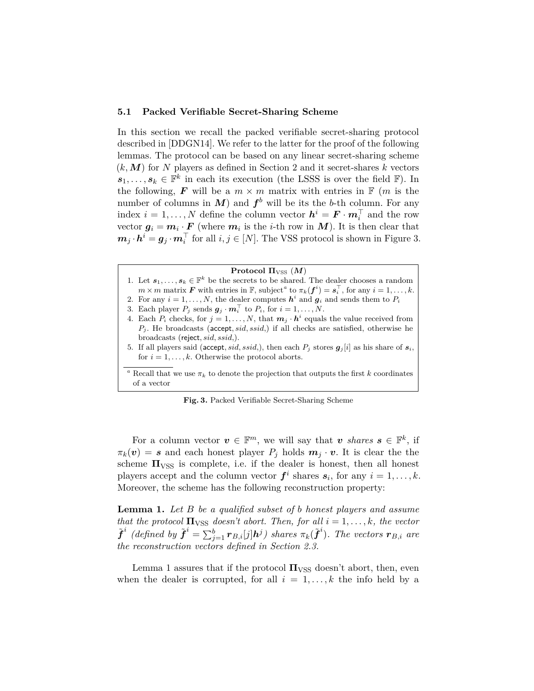### **5.1 Packed Verifiable Secret-Sharing Scheme**

In this section we recall the packed verifiable secret-sharing protocol described in [DDGN14]. We refer to the latter for the proof of the following lemmas. The protocol can be based on any linear secret-sharing scheme  $(k, M)$  for *N* players as defined in Section 2 and it secret-shares  $k$  vectors  $s_1, \ldots, s_k$  ∈  $\mathbb{F}^k$  in each its execution (the LSSS is over the field  $\mathbb{F}$ ). In the following,  $\boldsymbol{F}$  will be a  $m \times m$  matrix with entries in  $\mathbb{F}$  (*m* is the number of columns in  $M$ ) and  $f^b$  will be its the *b*-th column. For any index  $i = 1, ..., N$  define the column vector  $h^i = \boldsymbol{F} \cdot \boldsymbol{m}_i^{\top}$  and the row vector  $g_i = m_i \cdot F$  (where  $m_i$  is the *i*-th row in *M*). It is then clear that  $m_j \cdot h^i = g_j \cdot m_i^{\top}$  for all  $i, j \in [N]$ . The VSS protocol is shown in Figure 3.

#### **Protocol Π**VSS (*M*)

- 1. Let  $s_1, \ldots, s_k \in \mathbb{F}^k$  be the secrets to be shared. The dealer chooses a random  $m \times m$  matrix *F* with entries in  $\mathbb{F}$ , subject<sup>*a*</sup> to  $\pi_k(\boldsymbol{f}^i) = \boldsymbol{s}_i^{\top}$ , for any  $i = 1, ..., k$ .
- 2. For any  $i = 1, ..., N$ , the dealer computes  $h^i$  and  $g_i$  and sends them to  $P_i$
- 3. Each player  $P_j$  sends  $g_j \cdot m_i^{\top}$  to  $P_i$ , for  $i = 1, \ldots, N$ .
- 4. Each  $P_i$  checks, for  $j = 1, ..., N$ , that  $m_j \cdot h^i$  equals the value received from  $P_i$ . He broadcasts (accept, sid, ssid,) if all checks are satisfied, otherwise he broadcasts (reject*, sid, ssid,*).
- 5. If all players said (accept, sid, ssid,), then each  $P_j$  stores  $g_j[i]$  as his share of  $s_i$ , for  $i = 1, \ldots, k$ . Otherwise the protocol aborts.

<sup>*a*</sup> Recall that we use  $\pi_k$  to denote the projection that outputs the first *k* coordinates of a vector

**Fig. 3.** Packed Verifiable Secret-Sharing Scheme

For a column vector  $v \in \mathbb{F}^m$ , we will say that  $v$  *shares*  $s \in \mathbb{F}^k$ , if  $\pi_k(\mathbf{v}) = \mathbf{s}$  and each honest player  $P_j$  holds  $\mathbf{m}_j \cdot \mathbf{v}$ . It is clear the the scheme  $\Pi_{VSS}$  is complete, i.e. if the dealer is honest, then all honest players accept and the column vector  $f^i$  shares  $s_i$ , for any  $i = 1, \ldots, k$ . Moreover, the scheme has the following reconstruction property:

**Lemma 1.** *Let B be a qualified subset of b honest players and assume that the protocol*  $\Pi_{VSS}$  *doesn't abort. Then, for all*  $i = 1, \ldots, k$ *, the vector*  $\tilde{\bm{f}}^i$  (defined by  $\tilde{\bm{f}}^i = \sum_{j=1}^b {\bm{r}}_{B,i}[j]{\bm{h}}^j$ ) shares  $\pi_k(\tilde{\bm{f}}^i)$ . The vectors  ${\bm{r}}_{B,i}$  are *the reconstruction vectors defined in Section 2.3.*

Lemma 1 assures that if the protocol  $\Pi_{VSS}$  doesn't abort, then, even when the dealer is corrupted, for all  $i = 1, \ldots, k$  the info held by a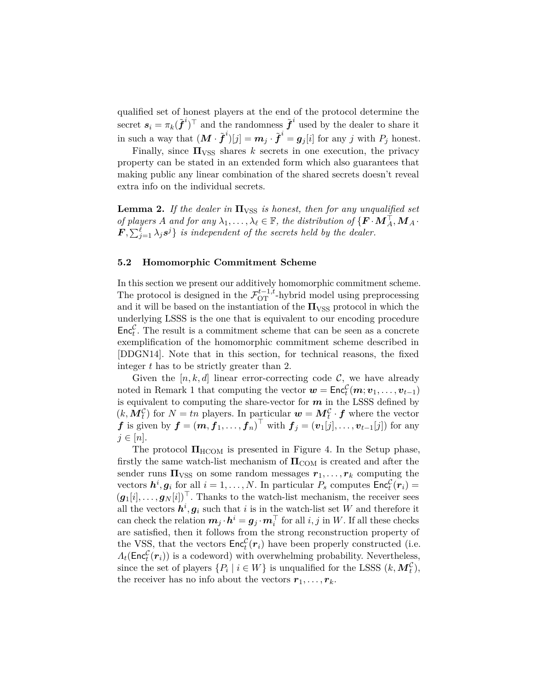qualified set of honest players at the end of the protocol determine the secret  $s_i = \pi_k(\tilde{f}^i)^\top$  and the randomness  $\tilde{f}^i$  used by the dealer to share it in such a way that  $(M \cdot \tilde{\boldsymbol{f}}^i)[j] = \boldsymbol{m}_j \cdot \tilde{\boldsymbol{f}}^i = \boldsymbol{g}_j[i]$  for any *j* with  $P_j$  honest.

Finally, since  $\Pi_{VSS}$  shares *k* secrets in one execution, the privacy property can be stated in an extended form which also guarantees that making public any linear combination of the shared secrets doesn't reveal extra info on the individual secrets.

**Lemma 2.** If the dealer in  $\Pi_{VSS}$  is honest, then for any unqualified set *of players A and for any*  $\lambda_1, \ldots, \lambda_\ell \in \mathbb{F}$ *, the distribution of*  $\{F \cdot M_A^{\top}, M_A \cdot$  $\mathbf{F}, \sum_{j=1}^{\ell} \lambda_j \mathbf{s}^j$  *is independent of the secrets held by the dealer.* 

### **5.2 Homomorphic Commitment Scheme**

In this section we present our additively homomorphic commitment scheme. The protocol is designed in the  $\mathcal{F}_{\text{OT}}^{t-1,t}$ -hybrid model using preprocessing and it will be based on the instantiation of the  $\Pi_{\rm VSS}$  protocol in which the underlying LSSS is the one that is equivalent to our encoding procedure  $\mathsf{Enc}^{\mathcal{C}}_t$ . The result is a commitment scheme that can be seen as a concrete exemplification of the homomorphic commitment scheme described in [DDGN14]. Note that in this section, for technical reasons, the fixed integer *t* has to be strictly greater than 2.

Given the  $[n, k, d]$  linear error-correcting code  $\mathcal{C}$ , we have already noted in Remark 1 that computing the vector  $\mathbf{w} = \mathsf{Enc}^{\mathcal{C}}_t(\mathbf{m}; \mathbf{v}_1, \dots, \mathbf{v}_{t-1})$ is equivalent to computing the share-vector for  $m$  in the LSSS defined by  $(k, M_t^{\mathcal{C}})$  for  $N = tn$  players. In particular  $\boldsymbol{w} = \boldsymbol{M}_t^{\mathcal{C}} \cdot \boldsymbol{f}$  where the vector  $f$  is given by  $f = (m, f_1, \ldots, f_n)^\top$  with  $f_j = (v_1[j], \ldots, v_{t-1}[j])$  for any *j* ∈ [*n*].

The protocol  $\Pi_{\text{HCOM}}$  is presented in Figure 4. In the Setup phase, firstly the same watch-list mechanism of  $\Pi_{COM}$  is created and after the sender runs  $\Pi_{VSS}$  on some random messages  $r_1, \ldots, r_k$  computing the vectors  $\mathbf{h}^i$ ,  $\mathbf{g}_i$  for all  $i = 1, ..., N$ . In particular  $P_s$  computes  $\mathsf{Enc}^{\mathcal{C}}_t(\mathbf{r}_i) =$  $(g_1[i], \ldots, g_N[i])^{\top}$ . Thanks to the watch-list mechanism, the receiver sees all the vectors  $h^i, g_i$  such that *i* is in the watch-list set *W* and therefore it can check the relation  $m_j \cdot h^i = g_j \cdot m_i^{\top}$  for all  $i, j$  in W. If all these checks are satisfied, then it follows from the strong reconstruction property of the VSS, that the vectors  $\mathsf{Enc}^{\mathcal{C}}_t(r_i)$  have been properly constructed (i.e.  $\Lambda_t(\mathsf{Enc}^{\mathcal{C}}_t(\mathbf{r}_i))$  is a codeword) with overwhelming probability. Nevertheless, since the set of players  $\{P_i \mid i \in W\}$  is unqualified for the LSSS  $(k, M_t^{\mathcal{C}})$ , the receiver has no info about the vectors  $r_1, \ldots, r_k$ .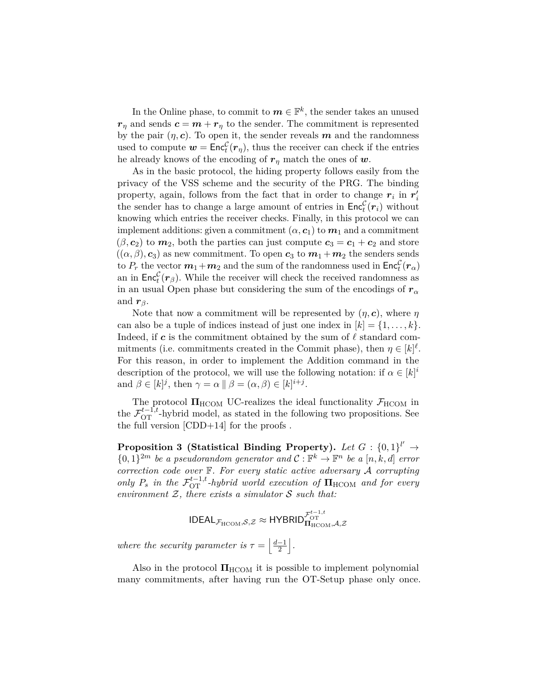In the Online phase, to commit to  $m \in \mathbb{F}^k$ , the sender takes an unused  $r_n$  and sends  $c = m + r_n$  to the sender. The commitment is represented by the pair  $(\eta, c)$ . To open it, the sender reveals  $m$  and the randomness used to compute  $w = \text{Enc}^{\mathcal{C}}(r_{\eta})$ , thus the receiver can check if the entries he already knows of the encoding of *r<sup>η</sup>* match the ones of *w*.

As in the basic protocol, the hiding property follows easily from the privacy of the VSS scheme and the security of the PRG. The binding property, again, follows from the fact that in order to change  $r_i$  in  $r'_i$ the sender has to change a large amount of entries in  $\mathsf{Enc}^{\mathcal{C}}_t(\mathbf{r}_i)$  without knowing which entries the receiver checks. Finally, in this protocol we can implement additions: given a commitment  $(\alpha, c_1)$  to  $m_1$  and a commitment  $(\beta, c_2)$  to  $m_2$ , both the parties can just compute  $c_3 = c_1 + c_2$  and store  $((\alpha, \beta), c_3)$  as new commitment. To open  $c_3$  to  $m_1 + m_2$  the senders sends to  $P_r$  the vector  $m_1+m_2$  and the sum of the randomness used in  $Enc_t^{\mathcal{C}}(r_\alpha)$ an in  $\mathsf{Enc}^{\mathcal{C}}_t(r_\beta)$ . While the receiver will check the received randomness as in an usual Open phase but considering the sum of the encodings of  $r_\alpha$ and  $r_\beta$ .

Note that now a commitment will be represented by  $(\eta, c)$ , where  $\eta$ can also be a tuple of indices instead of just one index in  $[k] = \{1, \ldots, k\}.$ Indeed, if  $c$  is the commitment obtained by the sum of  $\ell$  standard commitments (i.e. commitments created in the Commit phase), then  $\eta \in [k]^\ell$ . For this reason, in order to implement the Addition command in the description of the protocol, we will use the following notation: if  $\alpha \in [k]^i$ and  $\beta \in [k]^j$ , then  $\gamma = \alpha \parallel \beta = (\alpha, \beta) \in [k]^{i+j}$ .

The protocol  $\Pi_{\rm HCOM}$  UC-realizes the ideal functionality  $\mathcal{F}_{\rm HCOM}$  in the  $\mathcal{F}_{\text{OT}}^{t-1,t}$ -hybrid model, as stated in the following two propositions. See the full version [CDD+14] for the proofs .

**Proposition 3** (Statistical Binding Property). Let  $G : \{0,1\}^{l'} \rightarrow$  $\{0,1\}^{2m}$  *be a pseudorandom generator and*  $\mathcal{C}: \mathbb{F}^k \to \mathbb{F}^n$  *be a*  $[n, k, d]$  *error correction code over* F*. For every static active adversary* A *corrupting only*  $P_s$  *in the*  $\mathcal{F}_{\text{OT}}^{t-1,t}$ *-hybrid world execution of*  $\Pi_{\text{HCOM}}$  *and for every environment* Z*, there exists a simulator* S *such that:*

$$
\mathsf{IDEAL}_{\mathcal{F}_{\mathrm{HCOM}},\mathcal{S},\mathcal{Z}} \approx \mathsf{HYBRID}_{\Pi_{\mathrm{HCOM}},\mathcal{A},\mathcal{Z}}^{\mathcal{F}_{\mathrm{OT}}^{t-1,t}}
$$

*where the security parameter is*  $\tau = \frac{d-1}{2}$  $\frac{-1}{2}$ .

Also in the protocol  $\Pi_{\text{HCOM}}$  it is possible to implement polynomial many commitments, after having run the OT-Setup phase only once.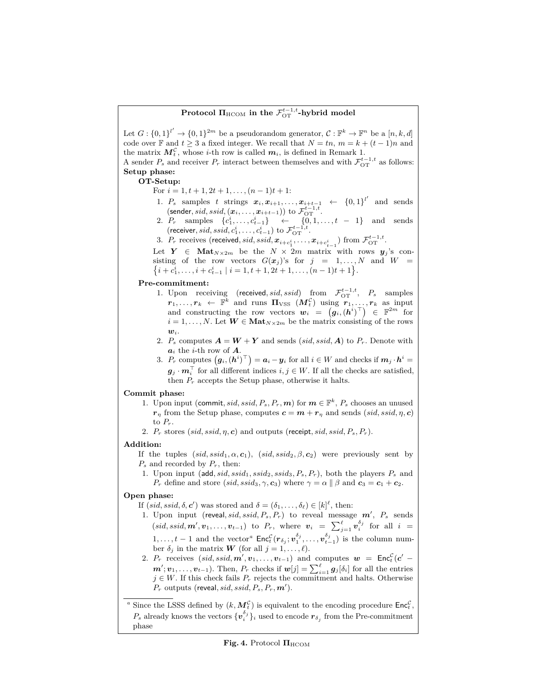## $\mathbf{Protocol} \ \mathbf{\Pi}_{\rm HCOM}$  in the  $\mathcal{F}_{\rm OT}^{t-1,t}$ -hybrid model

Let  $G: \{0,1\}^{l'} \to \{0,1\}^{2m}$  be a pseudorandom generator,  $\mathcal{C}: \mathbb{F}^k \to \mathbb{F}^n$  be a  $[n, k, d]$ code over  $\mathbb{F}$  and  $t \geq 3$  a fixed integer. We recall that  $N = tn$ ,  $m = k + (t - 1)n$  and the matrix  $M_t^{\mathcal{C}}$ , whose *i*-th row is called  $m_i$ , is defined in Remark 1. A sender  $P_s$  and receiver  $P_r$  interact between themselves and with  $\mathcal{F}_{\text{OT}}^{t-1,t}$  as follows: **Setup phase:**

#### **OT-Setup:**

For  $i = 1, t + 1, 2t + 1, \ldots, (n - 1)t + 1$ :

- 1.  $P_s$  samples *t* strings  $x_i, x_{i+1}, \ldots, x_{i+t-1} \leftarrow \{0, 1\}^{l'}$  and sends  $(\textsf{sender}, sid,ssid,(\boldsymbol{x}_i,\dots,\boldsymbol{x}_{i+t-1})) \text{ to } \mathcal{F}_{\text{OT}}^{t-1,t}.$
- 2.  $P_r$  samples  $\{c_1^i, \ldots, c_{t-1}^i\}$  ←  $\{0, 1, \ldots, t-1\}$  and sends (receiver, sid, ssid, c<sup>i</sup><sub>1</sub>, ..., c<sup>i</sup><sub>*t*-1</sub>) to  $\mathcal{F}_{\text{OT}}^{t-1,t}$ .<br>*P* received received and asid  $\tau$
- 3.  $P_r$  receives (received, sid, ssid,  $x_{i+c_1^i}, \ldots, x_{i+c_{i-1}^i}$ ) from  $\mathcal{F}_{\text{OT}}^{t-1,t}$ .

Let  $Y \in \text{Mat}_{N \times 2m}$  be the  $N \times 2m$  matrix with rows  $y_j$ 's consisting of the row vectors  $G(x_j)$ 's for  $j = 1, ..., N$  and  $W =$  $\{i + c_1^i, \ldots, i + c_{t-1}^i \mid i = 1, t + 1, 2t + 1, \ldots, (n-1)t + 1\}.$ 

### **Pre-commitment:**

- 1. Upon receiving (received, *sid*, *ssid*) from  $\mathcal{F}_{\text{OT}}^{t-1,t}$ ,  $P_s$  samples  $r_1, \ldots, r_k$  ←  $\mathbb{F}^k$  and runs  $\Pi_{\text{VSS}}$   $(M_t^{\mathcal{C}})$  using  $r_1, \ldots, r_k$  as input and constructing the row vectors  $w_i = (g_i, (h^i)^{\top}) \in \mathbb{F}^{2m}$  for  $i = 1, \ldots, N$ . Let  $W \in \textbf{Mat}_{N \times 2m}$  be the matrix consisting of the rows *wi*.
- 2.  $P_s$  computes  $\mathbf{A} = \mathbf{W} + \mathbf{Y}$  and sends (*sid, ssid, A*) to  $P_r$ . Denote with *a<sup>i</sup>* the *i*-th row of *A*.
- 3.  $P_r$  computes  $(g_i, (h^i)^{\top}) = a_i y_i$  for all  $i \in W$  and checks if  $m_j \cdot h^i =$  $g_j \cdot m_i^{\top}$  for all different indices  $i, j \in W$ . If all the checks are satisfied, then  $P_r$  accepts the Setup phase, otherwise it halts.

### **Commit phase:**

- 1. Upon input (commit, sid, ssid,  $P_s$ ,  $P_r$ ,  $m$ ) for  $m \in \mathbb{F}^k$ ,  $P_s$  chooses an unused *r<sub>n</sub>* from the Setup phase, computes  $c = m + r_n$  and sends (*sid, ssid, n, c*) to  $P_r$ .
- 2.  $P_r$  stores  $(sid, ssid, \eta, c)$  and outputs (receipt, sid, ssid,  $P_s$ ,  $P_r$ ).

#### **Addition:**

- If the tuples  $(sid, ssid_1, \alpha, c_1), (sid, ssid_2, \beta, c_2)$  were previously sent by *P<sup>s</sup>* and recorded by *Pr*, then:
- 1. Upon input (add, sid, ssid<sub>1</sub>, ssid<sub>2</sub>, ssid<sub>3</sub>,  $P_s$ ,  $P_r$ ), both the players  $P_s$  and *P<sub>r</sub>* define and store (*sid, ssid*<sub>3</sub>,  $\gamma$ , *c*<sub>3</sub>) where  $\gamma = \alpha \parallel \beta$  and  $c_3 = c_1 + c_2$ .

### **Open phase:**

- If  $(sid, ssid, \delta, c')$  was stored and  $\delta = (\delta_1, \ldots, \delta_\ell) \in [k]^\ell$ , then:
- 1. Upon input (reveal, sid, ssid,  $P_s$ ,  $P_r$ ) to reveal message  $m'$ ,  $P_s$  sends  $(sid, ssid, m', v_1, \ldots, v_{t-1})$  to  $P_r$ , where  $v_i = \sum_{j=1}^{\ell} v_i^{\delta_j}$  for all  $i =$  $1, \ldots, t-1$  and the vector<sup>*a*</sup>  $\mathsf{Enc}^{\mathcal{C}}_t(r_{\delta_j}; v_1^{\delta_j}, \ldots, v_{t-1}^{\delta_j})$  is the column number  $\delta_j$  in the matrix **W** (for all  $j = 1, \ldots, \ell$ ).
- 2.  $P_r$  receives  $(sid, ssid, m', v_1, \ldots, v_{t-1})$  and computes  $w = \text{Enc}^{\mathcal{C}}_t(c'$  $m'; v_1, \ldots, v_{t-1}$ ). Then,  $P_r$  checks if  $w[j] = \sum_{i=1}^{\ell} g_j[\delta_i]$  for all the entries  $j \in W$ . If this check fails  $P_r$  rejects the commitment and halts. Otherwise  $P_r$  outputs (reveal, sid, ssid,  $P_s$ ,  $P_r$ ,  $m'$ ).

<sup>*a*</sup> Since the LSSS defined by  $(k, M_t^C)$  is equivalent to the encoding procedure  $Enc_t^C$ ,  $P_s$  already knows the vectors  $\{v_i^{\delta_j}\}_i$  used to encode  $r_{\delta_j}$  from the Pre-commitment phase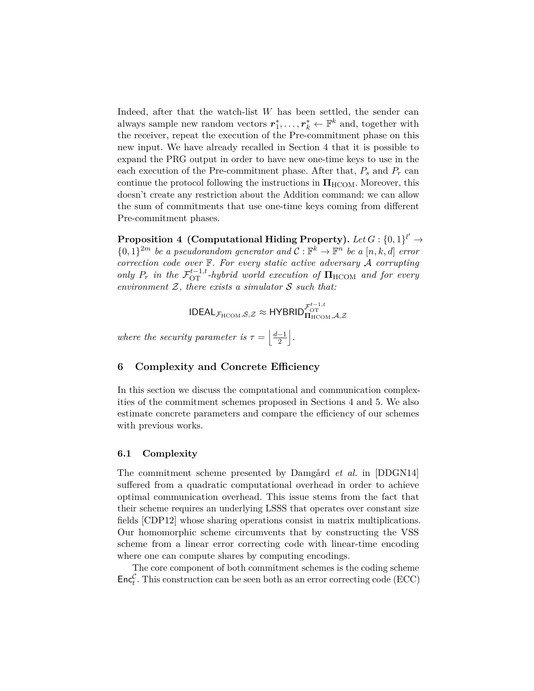Indeed, after that the watch-list *W* has been settled, the sender can always sample new random vectors  $r_1^*, \ldots, r_k^* \leftarrow \mathbb{F}^k$  and, together with the receiver, repeat the execution of the Pre-commitment phase on this new input. We have already recalled in Section 4 that it is possible to expand the PRG output in order to have new one-time keys to use in the each execution of the Pre-commitment phase. After that,  $P_s$  and  $P_r$  can continue the protocol following the instructions in  $\Pi_{\text{HCOM}}$ . Moreover, this doesn't create any restriction about the Addition command: we can allow the sum of commitments that use one-time keys coming from different Pre-commitment phases.

 ${\bf Proposition \ 4 \ \ (Computational Hiding Property).}$   $Let\, G: \{0,1\}^{l'} \rightarrow$  $\{0,1\}^{2m}$  *be a pseudorandom generator and*  $\mathcal{C}: \mathbb{F}^k \to \mathbb{F}^n$  *be a*  $[n, k, d]$  *error correction code over* F*. For every static active adversary* A *corrupting only*  $P_r$  *in the*  $\mathcal{F}_{\text{OT}}^{t-1,t}$ -*hybrid world execution of*  $\Pi_{\text{HCOM}}$  *and for every environment* Z*, there exists a simulator* S *such that:*

$$
\mathsf{IDEAL}_{\mathcal{F}_{\mathsf{HCOM}},\mathcal{S},\mathcal{Z}} \approx \mathsf{HYBRID}_{\mathbf{\Pi}_{\mathsf{HCOM}},\mathcal{A},\mathcal{Z}}^{\mathcal{F}_{\mathsf{OT}}^{t-1,t}}
$$

*where the security parameter is*  $\tau = \frac{d-1}{2}$  $\frac{-1}{2}$ .

## **6 Complexity and Concrete Efficiency**

In this section we discuss the computational and communication complexities of the commitment schemes proposed in Sections 4 and 5. We also estimate concrete parameters and compare the efficiency of our schemes with previous works.

### **6.1 Complexity**

The commitment scheme presented by Damgård *et al.* in [DDGN14] suffered from a quadratic computational overhead in order to achieve optimal communication overhead. This issue stems from the fact that their scheme requires an underlying LSSS that operates over constant size fields [CDP12] whose sharing operations consist in matrix multiplications. Our homomorphic scheme circumvents that by constructing the VSS scheme from a linear error correcting code with linear-time encoding where one can compute shares by computing encodings.

The core component of both commitment schemes is the coding scheme  $\mathsf{Enc}^{\mathcal{C}}_t$ . This construction can be seen both as an error correcting code (ECC)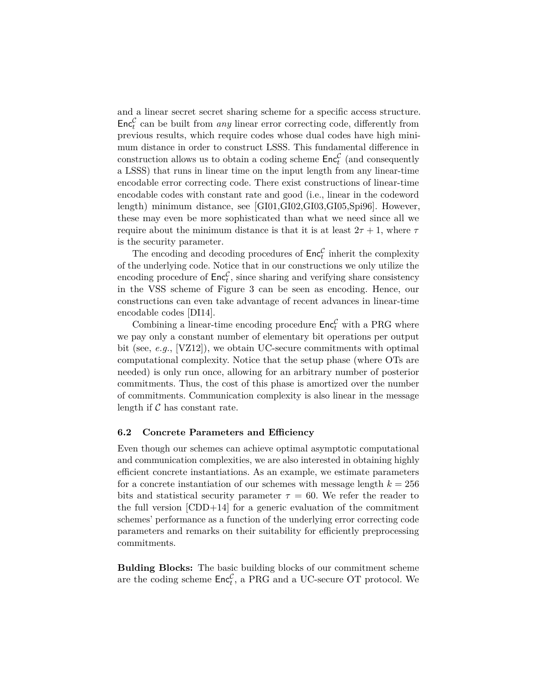and a linear secret secret sharing scheme for a specific access structure.  $\mathsf{Enc}^{\mathcal{C}}_t$  can be built from *any* linear error correcting code, differently from previous results, which require codes whose dual codes have high minimum distance in order to construct LSSS. This fundamental difference in construction allows us to obtain a coding scheme  $\mathsf{Enc}^{\mathcal{C}}_t$  (and consequently a LSSS) that runs in linear time on the input length from any linear-time encodable error correcting code. There exist constructions of linear-time encodable codes with constant rate and good (i.e., linear in the codeword length) minimum distance, see [GI01,GI02,GI03,GI05,Spi96]. However, these may even be more sophisticated than what we need since all we require about the minimum distance is that it is at least  $2\tau + 1$ , where  $\tau$ is the security parameter.

The encoding and decoding procedures of  $\mathsf{Enc}^{\mathcal{C}}_t$  inherit the complexity of the underlying code. Notice that in our constructions we only utilize the encoding procedure of  $Enc_{t}^{\mathcal{C}}$ , since sharing and verifying share consistency in the VSS scheme of Figure 3 can be seen as encoding. Hence, our constructions can even take advantage of recent advances in linear-time encodable codes [DI14].

Combining a linear-time encoding procedure  $\mathsf{Enc}^{\mathcal{C}}_t$  with a PRG where we pay only a constant number of elementary bit operations per output bit (see, *e.g.*, [VZ12]), we obtain UC-secure commitments with optimal computational complexity. Notice that the setup phase (where OTs are needed) is only run once, allowing for an arbitrary number of posterior commitments. Thus, the cost of this phase is amortized over the number of commitments. Communication complexity is also linear in the message length if  $\mathcal C$  has constant rate.

### **6.2 Concrete Parameters and Efficiency**

Even though our schemes can achieve optimal asymptotic computational and communication complexities, we are also interested in obtaining highly efficient concrete instantiations. As an example, we estimate parameters for a concrete instantiation of our schemes with message length  $k = 256$ bits and statistical security parameter  $\tau = 60$ . We refer the reader to the full version [CDD+14] for a generic evaluation of the commitment schemes' performance as a function of the underlying error correcting code parameters and remarks on their suitability for efficiently preprocessing commitments.

**Bulding Blocks:** The basic building blocks of our commitment scheme are the coding scheme  $\mathsf{Enc}^{\mathcal{C}}_t$ , a PRG and a UC-secure OT protocol. We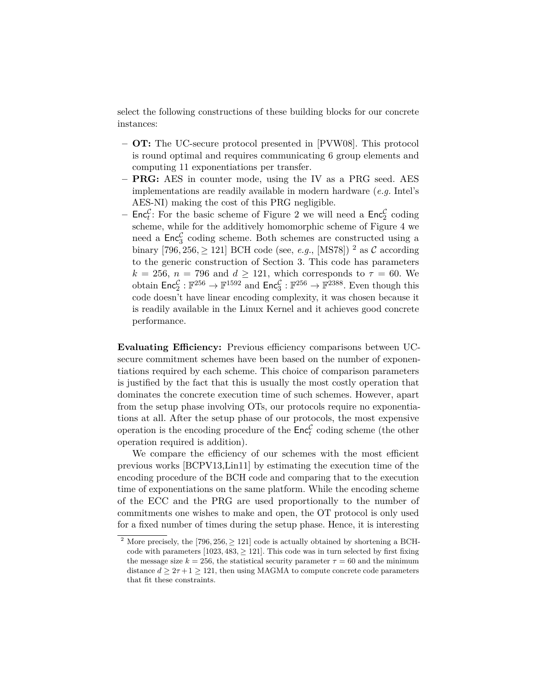select the following constructions of these building blocks for our concrete instances:

- **– OT:** The UC-secure protocol presented in [PVW08]. This protocol is round optimal and requires communicating 6 group elements and computing 11 exponentiations per transfer.
- **– PRG:** AES in counter mode, using the IV as a PRG seed. AES implementations are readily available in modern hardware (*e.g.* Intel's AES-NI) making the cost of this PRG negligible.
- $-$  Enc<sub>c</sub><sup>c</sup>: For the basic scheme of Figure 2 we will need a Enc<sub>c</sub><sup>c</sup> coding scheme, while for the additively homomorphic scheme of Figure 4 we need a  $Enc<sub>3</sub><sup>C</sup>$  coding scheme. Both schemes are constructed using a binary [796, 256,  $\geq$  121] BCH code (see, *e.g.*, [MS78])<sup>2</sup> as C according to the generic construction of Section 3. This code has parameters  $k = 256$ ,  $n = 796$  and  $d \ge 121$ , which corresponds to  $\tau = 60$ . We obtain  $\mathsf{Enc}^{\mathcal{C}}_2 : \mathbb{F}^{256} \to \mathbb{F}^{1592}$  and  $\mathsf{Enc}^{\mathcal{C}}_3 : \mathbb{F}^{256} \to \mathbb{F}^{2388}$ . Even though this code doesn't have linear encoding complexity, it was chosen because it is readily available in the Linux Kernel and it achieves good concrete performance.

**Evaluating Efficiency:** Previous efficiency comparisons between UCsecure commitment schemes have been based on the number of exponentiations required by each scheme. This choice of comparison parameters is justified by the fact that this is usually the most costly operation that dominates the concrete execution time of such schemes. However, apart from the setup phase involving OTs, our protocols require no exponentiations at all. After the setup phase of our protocols, the most expensive operation is the encoding procedure of the  $\mathsf{Enc}^{\mathcal{C}}_t$  coding scheme (the other operation required is addition).

We compare the efficiency of our schemes with the most efficient previous works [BCPV13,Lin11] by estimating the execution time of the encoding procedure of the BCH code and comparing that to the execution time of exponentiations on the same platform. While the encoding scheme of the ECC and the PRG are used proportionally to the number of commitments one wishes to make and open, the OT protocol is only used for a fixed number of times during the setup phase. Hence, it is interesting

<sup>&</sup>lt;sup>2</sup> More precisely, the  $[796, 256, \geq 121]$  code is actually obtained by shortening a BCHcode with parameters  $[1023, 483, \geq 121]$ . This code was in turn selected by first fixing the message size  $k = 256$ , the statistical security parameter  $\tau = 60$  and the minimum distance  $d \geq 2\tau + 1 \geq 121$ , then using MAGMA to compute concrete code parameters that fit these constraints.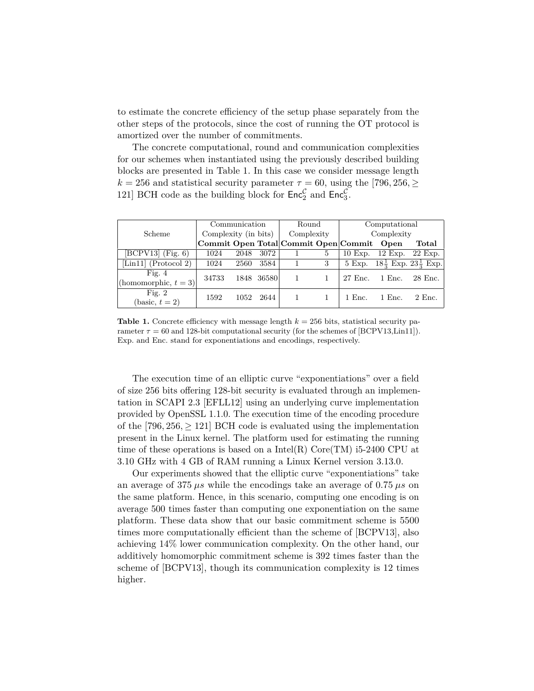to estimate the concrete efficiency of the setup phase separately from the other steps of the protocols, since the cost of running the OT protocol is amortized over the number of commitments.

The concrete computational, round and communication complexities for our schemes when instantiated using the previously described building blocks are presented in Table 1. In this case we consider message length  $k = 256$  and statistical security parameter  $\tau = 60$ , using the [796*,* 256*,* ≥ 121] BCH code as the building block for  $\mathsf{Enc}^{\mathcal{C}}_2$  and  $\mathsf{Enc}^{\mathcal{C}}_3$ .

|                                     | Communication        |            |      | Round                                     |   | Computational |                         |                                                  |
|-------------------------------------|----------------------|------------|------|-------------------------------------------|---|---------------|-------------------------|--------------------------------------------------|
| <b>Scheme</b>                       | Complexity (in bits) |            |      | Complexity                                |   | Complexity    |                         |                                                  |
|                                     |                      |            |      | Commit Open Total Commit Open Commit Open |   |               |                         | Total                                            |
| [BCPV13] $(Fig. 6)$                 | 1024                 | 2048       | 3072 |                                           | 5 |               | 10 Exp. 12 Exp. 22 Exp. |                                                  |
| [Lin11] (Protocol 2)                | 1024                 | 2560       | 3584 |                                           | 3 |               |                         | 5 Exp. $18\frac{1}{3}$ Exp. $23\frac{1}{3}$ Exp. |
| Fig. $4$<br>(homomorphic, $t = 3$ ) | 34733                | 1848 36580 |      |                                           |   | 27 Enc.       | 1 Enc.                  | 28 Enc.                                          |
| Fig. $2$<br>(basic, $t = 2$ )       | 1592                 | 1052       | 2644 |                                           |   | 1 Enc.        | 1 Enc.                  | 2 Enc.                                           |

**Table 1.** Concrete efficiency with message length  $k = 256$  bits, statistical security parameter  $\tau = 60$  and 128-bit computational security (for the schemes of [BCPV13,Lin11]). Exp. and Enc. stand for exponentiations and encodings, respectively.

The execution time of an elliptic curve "exponentiations" over a field of size 256 bits offering 128-bit security is evaluated through an implementation in SCAPI 2.3 [EFLL12] using an underlying curve implementation provided by OpenSSL 1.1.0. The execution time of the encoding procedure of the  $[796, 256, \geq 121]$  BCH code is evaluated using the implementation present in the Linux kernel. The platform used for estimating the running time of these operations is based on a Intel(R)  $Core(TM)$  i5-2400 CPU at 3.10 GHz with 4 GB of RAM running a Linux Kernel version 3.13.0.

Our experiments showed that the elliptic curve "exponentiations" take an average of 375 *µs* while the encodings take an average of 0*.*75 *µs* on the same platform. Hence, in this scenario, computing one encoding is on average 500 times faster than computing one exponentiation on the same platform. These data show that our basic commitment scheme is 5500 times more computationally efficient than the scheme of [BCPV13], also achieving 14% lower communication complexity. On the other hand, our additively homomorphic commitment scheme is 392 times faster than the scheme of [BCPV13], though its communication complexity is 12 times higher.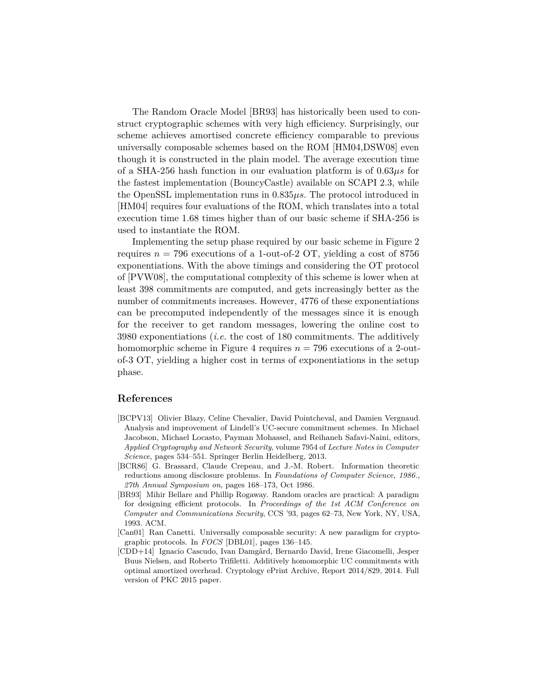The Random Oracle Model [BR93] has historically been used to construct cryptographic schemes with very high efficiency. Surprisingly, our scheme achieves amortised concrete efficiency comparable to previous universally composable schemes based on the ROM [HM04,DSW08] even though it is constructed in the plain model. The average execution time of a SHA-256 hash function in our evaluation platform is of 0*.*63*µs* for the fastest implementation (BouncyCastle) available on SCAPI 2.3, while the OpenSSL implementation runs in 0*.*835*µs*. The protocol introduced in [HM04] requires four evaluations of the ROM, which translates into a total execution time 1*.*68 times higher than of our basic scheme if SHA-256 is used to instantiate the ROM.

Implementing the setup phase required by our basic scheme in Figure 2 requires  $n = 796$  executions of a 1-out-of-2 OT, yielding a cost of 8756 exponentiations. With the above timings and considering the OT protocol of [PVW08], the computational complexity of this scheme is lower when at least 398 commitments are computed, and gets increasingly better as the number of commitments increases. However, 4776 of these exponentiations can be precomputed independently of the messages since it is enough for the receiver to get random messages, lowering the online cost to 3980 exponentiations (*i.e.* the cost of 180 commitments. The additively homomorphic scheme in Figure 4 requires  $n = 796$  executions of a 2-outof-3 OT, yielding a higher cost in terms of exponentiations in the setup phase.

### **References**

- [BCPV13] Olivier Blazy, Celine Chevalier, David Pointcheval, and Damien Vergnaud. Analysis and improvement of Lindell's UC-secure commitment schemes. In Michael Jacobson, Michael Locasto, Payman Mohassel, and Reihaneh Safavi-Naini, editors, *Applied Cryptography and Network Security*, volume 7954 of *Lecture Notes in Computer Science*, pages 534–551. Springer Berlin Heidelberg, 2013.
- [BCR86] G. Brassard, Claude Crepeau, and J.-M. Robert. Information theoretic reductions among disclosure problems. In *Foundations of Computer Science, 1986., 27th Annual Symposium on*, pages 168–173, Oct 1986.
- [BR93] Mihir Bellare and Phillip Rogaway. Random oracles are practical: A paradigm for designing efficient protocols. In *Proceedings of the 1st ACM Conference on Computer and Communications Security*, CCS '93, pages 62–73, New York, NY, USA, 1993. ACM.
- [Can01] Ran Canetti. Universally composable security: A new paradigm for cryptographic protocols. In *FOCS* [DBL01], pages 136–145.
- [CDD+14] Ignacio Cascudo, Ivan Damgård, Bernardo David, Irene Giacomelli, Jesper Buus Nielsen, and Roberto Trifiletti. Additively homomorphic UC commitments with optimal amortized overhead. Cryptology ePrint Archive, Report 2014/829, 2014. Full version of PKC 2015 paper.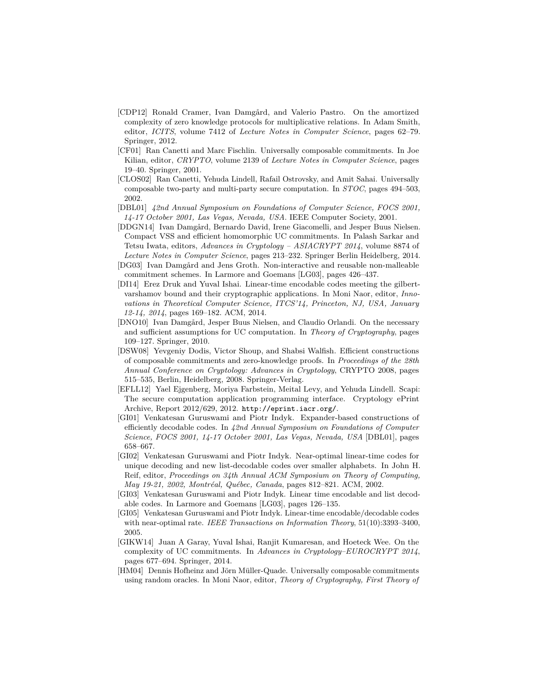- [CDP12] Ronald Cramer, Ivan Damgård, and Valerio Pastro. On the amortized complexity of zero knowledge protocols for multiplicative relations. In Adam Smith, editor, *ICITS*, volume 7412 of *Lecture Notes in Computer Science*, pages 62–79. Springer, 2012.
- [CF01] Ran Canetti and Marc Fischlin. Universally composable commitments. In Joe Kilian, editor, *CRYPTO*, volume 2139 of *Lecture Notes in Computer Science*, pages 19–40. Springer, 2001.
- [CLOS02] Ran Canetti, Yehuda Lindell, Rafail Ostrovsky, and Amit Sahai. Universally composable two-party and multi-party secure computation. In *STOC*, pages 494–503, 2002.
- [DBL01] *42nd Annual Symposium on Foundations of Computer Science, FOCS 2001, 14-17 October 2001, Las Vegas, Nevada, USA*. IEEE Computer Society, 2001.
- [DDGN14] Ivan Damgård, Bernardo David, Irene Giacomelli, and Jesper Buus Nielsen. Compact VSS and efficient homomorphic UC commitments. In Palash Sarkar and Tetsu Iwata, editors, *Advances in Cryptology – ASIACRYPT 2014*, volume 8874 of *Lecture Notes in Computer Science*, pages 213–232. Springer Berlin Heidelberg, 2014.
- [DG03] Ivan Damgård and Jens Groth. Non-interactive and reusable non-malleable commitment schemes. In Larmore and Goemans [LG03], pages 426–437.
- [DI14] Erez Druk and Yuval Ishai. Linear-time encodable codes meeting the gilbertvarshamov bound and their cryptographic applications. In Moni Naor, editor, *Innovations in Theoretical Computer Science, ITCS'14, Princeton, NJ, USA, January 12-14, 2014*, pages 169–182. ACM, 2014.
- [DNO10] Ivan Damgård, Jesper Buus Nielsen, and Claudio Orlandi. On the necessary and sufficient assumptions for UC computation. In *Theory of Cryptography*, pages 109–127. Springer, 2010.
- [DSW08] Yevgeniy Dodis, Victor Shoup, and Shabsi Walfish. Efficient constructions of composable commitments and zero-knowledge proofs. In *Proceedings of the 28th Annual Conference on Cryptology: Advances in Cryptology*, CRYPTO 2008, pages 515–535, Berlin, Heidelberg, 2008. Springer-Verlag.
- [EFLL12] Yael Ejgenberg, Moriya Farbstein, Meital Levy, and Yehuda Lindell. Scapi: The secure computation application programming interface. Cryptology ePrint Archive, Report 2012/629, 2012. http://eprint.iacr.org/.
- [GI01] Venkatesan Guruswami and Piotr Indyk. Expander-based constructions of efficiently decodable codes. In *42nd Annual Symposium on Foundations of Computer Science, FOCS 2001, 14-17 October 2001, Las Vegas, Nevada, USA* [DBL01], pages 658–667.
- [GI02] Venkatesan Guruswami and Piotr Indyk. Near-optimal linear-time codes for unique decoding and new list-decodable codes over smaller alphabets. In John H. Reif, editor, *Proceedings on 34th Annual ACM Symposium on Theory of Computing, May 19-21, 2002, Montréal, Québec, Canada*, pages 812–821. ACM, 2002.
- [GI03] Venkatesan Guruswami and Piotr Indyk. Linear time encodable and list decodable codes. In Larmore and Goemans [LG03], pages 126–135.
- [GI05] Venkatesan Guruswami and Piotr Indyk. Linear-time encodable/decodable codes with near-optimal rate. *IEEE Transactions on Information Theory*, 51(10):3393–3400, 2005.
- [GIKW14] Juan A Garay, Yuval Ishai, Ranjit Kumaresan, and Hoeteck Wee. On the complexity of UC commitments. In *Advances in Cryptology–EUROCRYPT 2014*, pages 677–694. Springer, 2014.
- [HM04] Dennis Hofheinz and Jörn Müller-Quade. Universally composable commitments using random oracles. In Moni Naor, editor, *Theory of Cryptography, First Theory of*